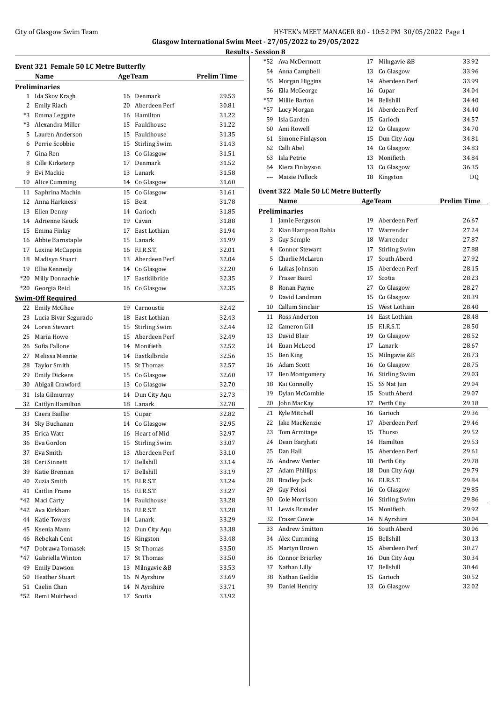#### City of Glasgow Swim Team **HY-TEK's MEET MANAGER 8.0 - 10:52 PM 30/05/2022** Page 1 **Glasgow International Swim Meet - 27/05/2022 to 29/05/2022 Results - Session 8**

**Event 321 Female 50 LC Metre Butterfly Name Age Team Prelim Time Preliminaries** Ida Skov Kragh 16 Denmark 29.53 Emily Riach 20 Aberdeen Perf 30.81 \*3 Emma Leggate 16 Hamilton 31.22 \*3 Alexandra Miller 15 Fauldhouse 31.22 Lauren Anderson 15 Fauldhouse 31.35 Perrie Scobbie 15 Stirling Swim 31.43 7 Gina Ren 13 Co Glasgow 31.51 8 Cille Kirketerp 17 Denmark 31.52 Evi Mackie 13 Lanark 31.58 10 Alice Cumming 14 Co Glasgow 31.60 Saphrina Machin 15 Co Glasgow 31.61 12 Anna Harkness 15 Best 31.78 Ellen Denny 14 Garioch 31.85 Adrienne Keuck 19 Cavan 31.88 Emma Finlay 17 East Lothian 31.94 Abbie Barnstaple 15 Lanark 31.99 17 Lexine McCappin 16 F.I.R.S.T. 32.01 Madisyn Stuart 13 Aberdeen Perf 32.04 Ellie Kennedy 14 Co Glasgow 32.20 \*20 Milly Donnachie 17 Eastkilbride 32.35 \*20 Georgia Reid 16 Co Glasgow 32.35 **Swim-Off Required** Emily McGhee 19 Carnoustie 32.42 Lucia Bivar Segurado 18 East Lothian 32.43 Loren Stewart 15 Stirling Swim 32.44 Maria Howe 15 Aberdeen Perf 32.49 Sofia Fallone 14 Monifieth 32.52 Melissa Mennie 14 Eastkilbride 32.56 28 Taylor Smith 15 St Thomas 32.57 Emily Dickens 15 Co Glasgow 32.60 Abigail Crawford 13 Co Glasgow 32.70 Isla Gilmurray 14 Dun City Aqu 32.73 Caitlyn Hamilton 18 Lanark 32.78 Caera Baillie 15 Cupar 32.82 Sky Buchanan 14 Co Glasgow 32.95 35 Erica Watt 16 Heart of Mid 32.97 Eva Gordon 15 Stirling Swim 33.07 Eva Smith 13 Aberdeen Perf 33.10 Ceri Sinnett 17 Bellshill 33.14 Katie Brennan 17 Bellshill 33.19 Zuzia Smith 15 F.I.R.S.T. 33.24 Caitlin Frame 15 F.I.R.S.T. 33.27 \*42 Maci Carty 14 Fauldhouse 33.28 \*42 Ava Kirkham 16 F.I.R.S.T. 33.28 Katie Towers 14 Lanark 33.29 Ksenia Mann 12 Dun City Aqu 33.38 Rebekah Cent 16 Kingston 33.48 \*47 Dobrawa Tomasek 15 St Thomas 33.50 \*47 Gabriella Winton 17 St Thomas 33.50 Emily Dawson 13 Milngavie &B 33.53 Heather Stuart 16 N Ayrshire 33.69 51 Caelin Chan 14 N Ayrshire 33.71 \*52 Remi Muirhead 17 Scotia 33.92

| *52   | Ava McDermott                        | 17             | Milngavie &B         | 33.92              |
|-------|--------------------------------------|----------------|----------------------|--------------------|
|       | 54 Anna Campbell                     | 13             | Co Glasgow           | 33.96              |
| 55    | Morgan Higgins                       |                | 14 Aberdeen Perf     | 33.99              |
| 56    | Ella McGeorge                        |                | 16 Cupar             | 34.04              |
| $*57$ | Millie Barton                        |                | 14 Bellshill         | 34.40              |
| *57   | Lucy Morgan                          |                | 14 Aberdeen Perf     | 34.40              |
| 59    | Isla Garden                          |                | 15 Garioch           | 34.57              |
| 60    | Ami Rowell                           |                | 12 Co Glasgow        | 34.70              |
| 61    | Simone Finlayson                     | 15             | Dun City Aqu         | 34.81              |
| 62    | Calli Abel                           | 14             | Co Glasgow           | 34.83              |
| 63    | Isla Petrie                          | 13             | Monifieth            | 34.84              |
|       | 64 Kiera Finlayson                   |                | 13 Co Glasgow        | 36.35              |
| ---   | Maisie Pollock                       | 18             | Kingston             | DQ                 |
|       |                                      |                |                      |                    |
|       | Event 322 Male 50 LC Metre Butterfly |                |                      |                    |
|       | Name                                 | <b>AgeTeam</b> |                      | <b>Prelim Time</b> |
|       | <b>Preliminaries</b>                 |                |                      |                    |
|       | 1 Jamie Ferguson                     |                | 19 Aberdeen Perf     | 26.67              |
| 2     | Kian Hampson Bahia                   |                | 17 Warrender         | 27.24              |
| 3     | Guy Semple                           |                | 18 Warrender         | 27.87              |
|       | 4 Connor Stewart                     | 17             | <b>Stirling Swim</b> | 27.88              |
| 5     | Charlie McLaren                      | 17             | South Aberd          | 27.92              |
|       | 6 Lukas Johnson                      | 15             | Aberdeen Perf        | 28.15              |
| 7     | Fraser Baird                         | 17             | Scotia               | 28.23              |
| 8     | Ronan Payne                          |                | 27 Co Glasgow        | 28.27              |
| 9     | David Landman                        |                | 15 Co Glasgow        | 28.39              |
| 10    | Callum Sinclair                      |                | 15 West Lothian      | 28.40              |
| 11    | Ross Anderton                        |                | 14 East Lothian      | 28.48              |
| 12    | Cameron Gill                         | 15             | F.I.R.S.T.           | 28.50              |
| 13    | David Blair                          |                | 19 Co Glasgow        | 28.52              |
| 14    | Euan McLeod                          |                | 17 Lanark            | 28.67              |
| 15    | Ben King                             |                | 15 Milngavie &B      | 28.73              |
| 16    | Adam Scott                           |                | 16 Co Glasgow        | 28.75              |
| 17    | <b>Ben Montgomery</b>                | 16             | <b>Stirling Swim</b> | 29.03              |
| 18    | Kai Connolly                         | 15             | SS Nat Jun           | 29.04              |
| 19    | Dylan McCombie                       | 15             | South Aberd          | 29.07              |
| 20    | John MacKay                          | 17             | Perth City           | 29.18              |
| 21    | Kyle Mitchell                        | 16             | Garioch              | 29.36              |
| 22    | Jake MacKenzie                       | 17             | Aberdeen Perf        | 29.46              |
| 23    | Tom Armitage                         | 15             | Thurso               | 29.52              |
| 24    | Dean Barghati                        | 14             | Hamilton             | 29.53              |
| 25    | Dan Hall                             | 15             | Aberdeen Perf        | 29.61              |
| 26    | Andrew Venter                        |                | 18 Perth City        | 29.78              |
| 27    | <b>Adam Phillips</b>                 | 18             | Dun City Aqu         | 29.79              |
| 28    | <b>Bradley Jack</b>                  | 16             | F.I.R.S.T.           | 29.84              |
| 29    | Guy Pelosi                           | 16             | Co Glasgow           | 29.85              |
| 30    | Cole Morrison                        | 16             | <b>Stirling Swim</b> | 29.86              |
| 31    | Lewis Brander                        | 15             | Monifieth            | 29.92              |
| 32    | <b>Fraser Cowie</b>                  | 14             | N Avrshire           | 30.04              |
| 33    | <b>Andrew Smitton</b>                | 16             | South Aberd          | 30.06              |
| 34    | Alex Cumming                         | 15             | Bellshill            | 30.13              |
| 35    | Martyn Brown                         | 15             | Aberdeen Perf        | 30.27              |
| 36    | <b>Connor Brierley</b>               | 16             | Dun City Aqu         | 30.34              |
| 37    | Nathan Lilly                         | 17             | Bellshill            | 30.46              |
| 38    | Nathan Geddie                        | 15             | Garioch              | 30.52              |
| 39    | Daniel Hendry                        | 13             | Co Glasgow           | 32.02              |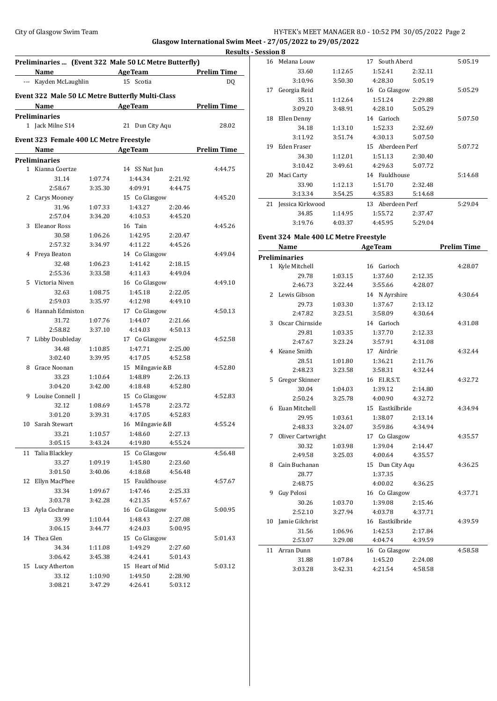#### City of Glasgow Swim Team **HY-TEK's MEET MANAGER 8.0 - 10:52 PM 30/05/2022** Page 2 **Glasgow International Swim Meet - 27/05/2022 to 29/05/2022**

|    |                                         |         |                                                       | <u>kesun</u>       |
|----|-----------------------------------------|---------|-------------------------------------------------------|--------------------|
|    |                                         |         | Preliminaries  (Event 322 Male 50 LC Metre Butterfly) |                    |
|    | Name                                    |         | <b>Example 2018</b> Age Team <b>Prelim Time</b>       |                    |
|    | --- Kayden McLaughlin                   |         | 15 Scotia                                             | DQ                 |
|    |                                         |         | Event 322 Male 50 LC Metre Butterfly Multi-Class      |                    |
|    | Name                                    |         | AgeTeam                                               | <b>Prelim Time</b> |
|    | <b>Preliminaries</b>                    |         |                                                       |                    |
|    | 1 Jack Milne S14                        |         | 21 Dun City Aqu                                       | 28.02              |
|    | Event 323 Female 400 LC Metre Freestyle |         |                                                       |                    |
|    | Name                                    |         | <b>AgeTeam</b>                                        | <b>Prelim Time</b> |
|    | Preliminaries                           |         |                                                       |                    |
|    | 1 Kianna Coertze                        |         | 14 SS Nat Jun                                         | 4:44.75            |
|    | 31.14                                   | 1:07.74 | 1:44.34<br>2:21.92                                    |                    |
|    | 2:58.67                                 | 3:35.30 | 4:44.75<br>4:09.91                                    |                    |
|    | 2 Carys Mooney                          |         | 15 Co Glasgow                                         | 4:45.20            |
|    | 31.96                                   | 1:07.33 | 1:43.27<br>2:20.46                                    |                    |
|    | 2:57.04                                 | 3:34.20 | 4:10.53<br>4:45.20                                    |                    |
|    | 3 Eleanor Ross                          |         | 16 Tain                                               | 4:45.26            |
|    | 30.58                                   | 1:06.26 | 1:42.95<br>2:20.47                                    |                    |
|    | 2:57.32                                 | 3:34.97 | 4:11.22<br>4:45.26                                    |                    |
|    | 4 Freya Beaton                          |         | 14 Co Glasgow                                         | 4:49.04            |
|    | 32.48                                   | 1:06.23 | 1:41.42<br>2:18.15                                    |                    |
|    | 2:55.36                                 | 3:33.58 | 4:11.43<br>4:49.04                                    |                    |
|    | 5 Victoria Niven                        |         | 16 Co Glasgow                                         | 4:49.10            |
|    | 32.63                                   | 1:08.75 | 1:45.18<br>2:22.05                                    |                    |
|    | 2:59.03                                 | 3:35.97 | 4:12.98<br>4:49.10                                    |                    |
|    | 6 Hannah Edmiston                       |         | 17 Co Glasgow                                         | 4:50.13            |
|    | 31.72                                   | 1:07.76 | 1:44.07<br>2:21.66                                    |                    |
|    | 2:58.82                                 | 3:37.10 | 4:14.03<br>4:50.13                                    |                    |
| 7  | Libby Doubleday                         |         | 17 Co Glasgow                                         | 4:52.58            |
|    | 34.48<br>3:02.40                        | 1:10.85 | 1:47.71<br>2:25.00<br>4:17.05                         |                    |
| 8  |                                         | 3:39.95 | 4:52.58                                               |                    |
|    | Grace Noonan<br>33.23                   | 1:10.64 | 15 Milngavie &B<br>1:48.89<br>2:26.13                 | 4:52.80            |
|    | 3:04.20                                 | 3:42.00 | 4:52.80<br>4:18.48                                    |                    |
|    | 9 Louise Connell J                      |         | 15 Co Glasgow                                         | 4:52.83            |
|    | 32.12                                   | 1:08.69 | 1:45.78<br>2:23.72                                    |                    |
|    | 3:01.20                                 | 3:39.31 | 4:17.05<br>4:52.83                                    |                    |
|    | 10 Sarah Stewart                        |         | 16 Milngavie &B                                       | 4:55.24            |
|    | 33.21                                   | 1:10.57 | 2:27.13<br>1:48.60                                    |                    |
|    | 3:05.15                                 | 3:43.24 | 4:19.80<br>4:55.24                                    |                    |
| 11 | Talia Blackley                          |         | 15 Co Glasgow                                         | 4:56.48            |
|    | 33.27                                   | 1:09.19 | 1:45.80<br>2:23.60                                    |                    |
|    | 3:01.50                                 | 3:40.06 | 4:18.68<br>4:56.48                                    |                    |
| 12 | Ellyn MacPhee                           |         | 15 Fauldhouse                                         | 4:57.67            |
|    | 33.34                                   | 1:09.67 | 1:47.46<br>2:25.33                                    |                    |
|    | 3:03.78                                 | 3:42.28 | 4:21.35<br>4:57.67                                    |                    |
| 13 | Ayla Cochrane                           |         | 16 Co Glasgow                                         | 5:00.95            |
|    | 33.99                                   | 1:10.44 | 1:48.43<br>2:27.08                                    |                    |
|    | 3:06.15                                 | 3:44.77 | 4:24.03<br>5:00.95                                    |                    |
| 14 | Thea Glen                               |         | 15 Co Glasgow                                         | 5:01.43            |
|    | 34.34                                   | 1:11.08 | 1:49.29<br>2:27.60                                    |                    |
|    | 3:06.42                                 | 3:45.38 | 4:24.41<br>5:01.43                                    |                    |
| 15 | Lucy Atherton                           |         | 15 Heart of Mid                                       | 5:03.12            |
|    | 33.12                                   | 1:10.90 | 1:49.50<br>2:28.90                                    |                    |
|    | 3:08.21                                 | 3:47.29 | 4:26.41<br>5:03.12                                    |                    |

|            | <b>Results - Session 8</b> |                     |               |                  |         |         |
|------------|----------------------------|---------------------|---------------|------------------|---------|---------|
|            | 16                         | Melana Louw         |               | 17 South Aberd   |         | 5:05.19 |
| ime        |                            | 33.60               | 1:12.65       | 1:52.41          | 2:32.11 |         |
| DQ         |                            | 3:10.96             | 3:50.30       | 4:28.30          | 5:05.19 |         |
|            | 17                         | Georgia Reid        |               | 16 Co Glasgow    |         | 5:05.29 |
|            |                            | 35.11               | 1:12.64       | 1:51.24          | 2:29.88 |         |
| ime        |                            | 3:09.20             | 3:48.91       | 4:28.10          | 5:05.29 |         |
|            | 18                         | Ellen Denny         |               | 14 Garioch       |         | 5:07.50 |
| 3.02       |                            | 34.18               | 1:13.10       | 1:52.33          | 2:32.69 |         |
|            |                            | 3:11.92             | 3:51.74       | 4:30.13          | 5:07.50 |         |
| ime        | 19                         | Eden Fraser         |               | 15 Aberdeen Perf |         | 5:07.72 |
|            |                            | 34.30               | 1:12.01       | 1:51.13          | 2:30.40 |         |
| <b>L75</b> |                            | 3:10.42             | 3:49.61       | 4:29.63          | 5:07.72 |         |
|            | 20                         | Maci Carty          | 14 Fauldhouse |                  |         | 5:14.68 |
|            |                            | 33.90               | 1:12.13       | 1:51.70          | 2:32.48 |         |
| 5.20       |                            | 3:13.34             | 3:54.25       | 4:35.83          | 5:14.68 |         |
|            |                            | 21 Jessica Kirkwood |               | 13 Aberdeen Perf |         | 5:29.04 |
|            |                            | 34.85               | 1:14.95       | 1:55.72          | 2:37.47 |         |
| 5.26       |                            | 3:19.76             | 4:03.37       | 4:45.95          | 5:29.04 |         |
|            |                            |                     |               |                  |         |         |

#### **Event 324 Male 400 LC Metre Freestyle**

|    | Name                 |         | <b>AgeTeam</b>  |         | <b>Prelim Time</b> |
|----|----------------------|---------|-----------------|---------|--------------------|
|    | <b>Preliminaries</b> |         |                 |         |                    |
|    | 1 Kyle Mitchell      |         | 16 Garioch      |         | 4:28.07            |
|    | 29.78                | 1:03.15 | 1:37.60         | 2:12.35 |                    |
|    | 2:46.73              | 3:22.44 | 3:55.66         | 4:28.07 |                    |
|    | 2 Lewis Gibson       |         | 14 N Ayrshire   |         | 4:30.64            |
|    | 29.73                | 1:03.30 | 1:37.67         | 2:13.12 |                    |
|    | 2:47.82              | 3:23.51 | 3:58.09         | 4:30.64 |                    |
| 3  | Oscar Chirnside      |         | 14 Garioch      |         | 4:31.08            |
|    | 29.81                | 1:03.35 | 1:37.70         | 2:12.33 |                    |
|    | 2:47.67              | 3:23.24 | 3:57.91         | 4:31.08 |                    |
|    | 4 Keane Smith        |         | 17 Airdrie      |         | 4:32.44            |
|    | 28.51                | 1:01.80 | 1:36.21         | 2:11.76 |                    |
|    | 2:48.23              | 3:23.58 | 3:58.31         | 4:32.44 |                    |
| 5  | Gregor Skinner       |         | 16 F.I.R.S.T.   |         | 4:32.72            |
|    | 30.04                | 1:04.03 | 1:39.12         | 2:14.80 |                    |
|    | 2:50.24              | 3:25.78 | 4:00.90         | 4:32.72 |                    |
| 6  | Euan Mitchell        |         | 15 Eastkilbride |         | 4:34.94            |
|    | 29.95                | 1:03.61 | 1:38.07         | 2:13.14 |                    |
|    | 2:48.33              | 3:24.07 | 3:59.86         | 4:34.94 |                    |
| 7  | Oliver Cartwright    |         | 17 Co Glasgow   |         | 4:35.57            |
|    | 30.32                | 1:03.98 | 1:39.04         | 2:14.47 |                    |
|    | 2:49.58              | 3:25.03 | 4:00.64         | 4:35.57 |                    |
| 8  | Cain Buchanan        |         | 15 Dun City Aqu |         | 4:36.25            |
|    | 28.77                |         | 1:37.35         |         |                    |
|    | 2:48.75              |         | 4:00.02         | 4:36.25 |                    |
| 9  | Guy Pelosi           |         | 16 Co Glasgow   |         | 4:37.71            |
|    | 30.26                | 1:03.70 | 1:39.08         | 2:15.46 |                    |
|    | 2:52.10              | 3:27.94 | 4:03.78         | 4:37.71 |                    |
| 10 | Jamie Gilchrist      |         | 16 Eastkilbride |         | 4:39.59            |
|    | 31.56                | 1:06.96 | 1:42.53         | 2:17.84 |                    |
|    | 2:53.07              | 3:29.08 | 4:04.74         | 4:39.59 |                    |
| 11 | Arran Dunn           |         | 16 Co Glasgow   |         | 4:58.58            |
|    | 31.88                | 1:07.84 | 1:45.20         | 2:24.08 |                    |
|    | 3:03.28              | 3:42.31 | 4:21.54         | 4:58.58 |                    |
|    |                      |         |                 |         |                    |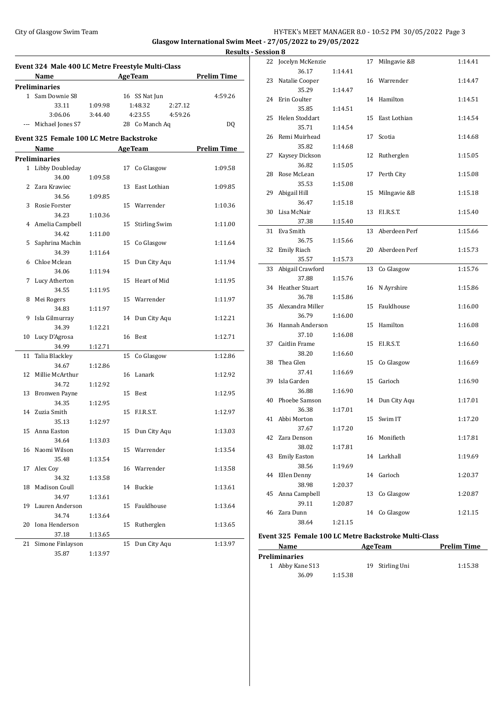### City of Glasgow Swim Team **HY-TEK's MEET MANAGER 8.0 - 10:52 PM 30/05/2022** Page 3 **Glasgow International Swim Meet - 27/05/2022 to 29/05/2022**

**Results - Session 8**

 $\sim$ 

 $\overline{\phantom{a}}$ 

| Event 324 Male 400 LC Metre Freestyle Multi-Class<br><b>AgeTeam</b><br><b>Prelim Time</b><br>Name |                                                 |         |    |                  |         |                    |
|---------------------------------------------------------------------------------------------------|-------------------------------------------------|---------|----|------------------|---------|--------------------|
|                                                                                                   |                                                 |         |    |                  |         |                    |
| $\mathbf{1}$                                                                                      | <b>Preliminaries</b><br>Sam Downie S8           |         |    | 16 SS Nat Jun    |         | 4:59.26            |
|                                                                                                   |                                                 |         |    |                  |         |                    |
|                                                                                                   | 33.11                                           | 1:09.98 |    | 1:48.32          | 2:27.12 |                    |
|                                                                                                   | 3:06.06                                         | 3:44.40 |    | 4:23.55          | 4:59.26 |                    |
|                                                                                                   | --- Michael Jones S7                            |         |    | 28 Co Manch Aq   |         | DQ                 |
|                                                                                                   | <b>Event 325 Female 100 LC Metre Backstroke</b> |         |    |                  |         |                    |
|                                                                                                   | Name                                            |         |    | <b>AgeTeam</b>   |         | <b>Prelim Time</b> |
|                                                                                                   | <b>Preliminaries</b>                            |         |    |                  |         |                    |
|                                                                                                   | 1 Libby Doubleday                               |         |    | 17 Co Glasgow    |         | 1:09.58            |
|                                                                                                   | 34.00                                           | 1:09.58 |    |                  |         |                    |
|                                                                                                   | 2 Zara Krawiec                                  |         |    | 13 East Lothian  |         | 1:09.85            |
|                                                                                                   | 34.56                                           | 1:09.85 |    |                  |         |                    |
| 3                                                                                                 | Rosie Forster                                   |         |    | 15 Warrender     |         | 1:10.36            |
|                                                                                                   | 34.23                                           | 1:10.36 |    |                  |         |                    |
|                                                                                                   | 4 Amelia Campbell                               |         |    | 15 Stirling Swim |         | 1:11.00            |
|                                                                                                   | 34.42                                           | 1:11.00 |    |                  |         |                    |
| 5                                                                                                 | Saphrina Machin                                 |         | 15 | Co Glasgow       |         | 1:11.64            |
|                                                                                                   | 34.39                                           | 1:11.64 |    |                  |         |                    |
| 6                                                                                                 | Chloe Mclean                                    |         |    | 15 Dun City Aqu  |         | 1:11.94            |
|                                                                                                   |                                                 |         |    |                  |         |                    |
|                                                                                                   | 34.06                                           | 1:11.94 |    |                  |         |                    |
| 7                                                                                                 | Lucy Atherton                                   |         |    | 15 Heart of Mid  |         | 1:11.95            |
|                                                                                                   | 34.55                                           | 1:11.95 |    |                  |         |                    |
| 8                                                                                                 | Mei Rogers                                      |         |    | 15 Warrender     |         | 1:11.97            |
|                                                                                                   | 34.83                                           | 1:11.97 |    |                  |         |                    |
| 9                                                                                                 | Isla Gilmurray                                  |         |    | 14 Dun City Aqu  |         | 1:12.21            |
|                                                                                                   | 34.39                                           | 1:12.21 |    |                  |         |                    |
| 10                                                                                                | Lucy D'Agrosa                                   |         |    | 16 Best          |         | 1:12.71            |
|                                                                                                   | 34.99                                           | 1:12.71 |    |                  |         |                    |
| 11                                                                                                | Talia Blackley                                  |         |    | 15 Co Glasgow    |         | 1:12.86            |
|                                                                                                   | 34.67                                           | 1:12.86 |    |                  |         |                    |
| 12                                                                                                | Millie McArthur                                 |         |    | 16 Lanark        |         | 1:12.92            |
|                                                                                                   | 34.72                                           | 1:12.92 |    |                  |         |                    |
| 13                                                                                                | <b>Bronwen Payne</b>                            |         |    | 15 Best          |         | 1:12.95            |
|                                                                                                   | 34.35                                           | 1:12.95 |    |                  |         |                    |
|                                                                                                   | 14 Zuzia Smith                                  |         |    | 15 F.I.R.S.T.    |         | 1:12.97            |
|                                                                                                   | 35.13                                           | 1:12.97 |    |                  |         |                    |
|                                                                                                   | 15 Anna Easton                                  |         |    | 15 Dun City Aqu  |         | 1:13.03            |
|                                                                                                   | 34.64                                           | 1:13.03 |    |                  |         |                    |
| 16                                                                                                | Naomi Wilson                                    |         |    | 15 Warrender     |         | 1:13.54            |
|                                                                                                   | 35.48                                           | 1:13.54 |    |                  |         |                    |
|                                                                                                   |                                                 |         |    | 16 Warrender     |         |                    |
| 17                                                                                                | Alex Coy                                        |         |    |                  |         | 1:13.58            |
|                                                                                                   | 34.32                                           | 1:13.58 |    |                  |         |                    |
| 18                                                                                                | Madison Coull                                   |         |    | 14 Buckie        |         | 1:13.61            |
|                                                                                                   | 34.97                                           | 1:13.61 |    |                  |         |                    |
| 19                                                                                                | Lauren Anderson                                 |         | 15 | Fauldhouse       |         | 1:13.64            |
|                                                                                                   | 34.74                                           | 1:13.64 |    |                  |         |                    |
| 20                                                                                                | Iona Henderson                                  |         | 15 | Rutherglen       |         | 1:13.65            |
|                                                                                                   | 37.18                                           | 1:13.65 |    |                  |         |                    |
| 21                                                                                                | Simone Finlayson                                |         | 15 | Dun City Aqu     |         | 1:13.97            |
|                                                                                                   | 35.87                                           | 1:13.97 |    |                  |         |                    |

| 22 | Jocelyn McKenzie    |         | 17 | Milngavie &B  | 1:14.41 |
|----|---------------------|---------|----|---------------|---------|
|    | 36.17               | 1:14.41 |    |               |         |
| 23 | Natalie Cooper      |         | 16 | Warrender     | 1:14.47 |
|    | 35.29               | 1:14.47 |    |               |         |
| 24 | Erin Coulter        |         | 14 | Hamilton      | 1:14.51 |
|    | 35.85               | 1:14.51 |    |               |         |
| 25 | Helen Stoddart      |         | 15 | East Lothian  | 1:14.54 |
|    | 35.71               | 1:14.54 |    |               |         |
| 26 | Remi Muirhead       |         | 17 | Scotia        | 1:14.68 |
|    | 35.82               | 1:14.68 |    |               |         |
| 27 | Kaysey Dickson      |         | 12 | Rutherglen    | 1:15.05 |
|    | 36.82               | 1:15.05 |    |               |         |
| 28 | Rose McLean         |         | 17 | Perth City    | 1:15.08 |
|    | 35.53               | 1:15.08 |    |               |         |
| 29 | Abigail Hill        |         | 15 | Milngavie &B  | 1:15.18 |
|    | 36.47               | 1:15.18 |    |               |         |
| 30 | Lisa McNair         |         | 13 | F.I.R.S.T.    | 1:15.40 |
|    | 37.38               | 1:15.40 |    |               |         |
| 31 | Eva Smith           |         | 13 | Aberdeen Perf | 1:15.66 |
|    | 36.75               | 1:15.66 |    |               |         |
| 32 | <b>Emily Riach</b>  |         | 20 | Aberdeen Perf | 1:15.73 |
|    | 35.57               | 1:15.73 |    |               |         |
| 33 | Abigail Crawford    |         | 13 | Co Glasgow    | 1:15.76 |
|    | 37.88               | 1:15.76 |    |               |         |
| 34 | Heather Stuart      |         | 16 | N Ayrshire    | 1:15.86 |
|    | 36.78               | 1:15.86 |    |               |         |
| 35 | Alexandra Miller    |         | 15 | Fauldhouse    | 1:16.00 |
|    | 36.79               | 1:16.00 |    |               |         |
| 36 | Hannah Anderson     |         | 15 | Hamilton      | 1:16.08 |
|    | 37.10               | 1:16.08 |    |               |         |
| 37 | Caitlin Frame       |         | 15 | F.I.R.S.T.    | 1:16.60 |
|    | 38.20               | 1:16.60 |    |               |         |
| 38 | Thea Glen           |         | 15 | Co Glasgow    | 1:16.69 |
|    | 37.41               | 1:16.69 |    |               |         |
| 39 | Isla Garden         |         | 15 | Garioch       | 1:16.90 |
|    | 36.88               | 1:16.90 |    |               |         |
| 40 | Phoebe Samson       |         | 14 | Dun City Aqu  | 1:17.01 |
|    | 36.38               | 1:17.01 |    |               |         |
| 41 | Abbi Morton         |         | 15 | Swim IT       | 1:17.20 |
|    | 37.67               | 1:17.20 |    |               |         |
| 42 | Zara Denson         |         | 16 | Monifieth     | 1:17.81 |
|    | 38.02               | 1:17.81 |    |               |         |
| 43 | <b>Emily Easton</b> |         | 14 | Larkhall      | 1:19.69 |
|    | 38.56               | 1:19.69 |    |               |         |
| 44 | Ellen Denny         |         | 14 | Garioch       | 1:20.37 |
|    | 38.98               | 1:20.37 |    |               |         |
| 45 | Anna Campbell       |         | 13 | Co Glasgow    | 1:20.87 |
|    | 39.11               | 1:20.87 |    |               |         |
| 46 | Zara Dunn           |         | 14 | Co Glasgow    | 1:21.15 |
|    | 38.64               | 1:21.15 |    |               |         |
|    |                     |         |    |               |         |

# **Event 325 Female 100 LC Metre Backstroke Multi-Class**

| Name            |         | <b>AgeTeam</b>  | <b>Prelim Time</b> |  |
|-----------------|---------|-----------------|--------------------|--|
| Preliminaries   |         |                 |                    |  |
| 1 Abby Kane S13 |         | 19 Stirling Uni | 1:15.38            |  |
| 36.09           | 1:15.38 |                 |                    |  |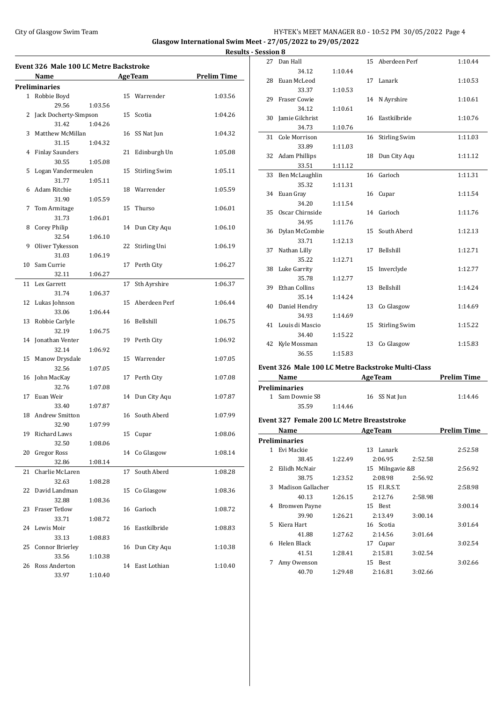#### City of Glasgow Swim Team **HY-TEK's MEET MANAGER 8.0 - 10:52 PM 30/05/2022** Page 4 **Glasgow International Swim Meet - 27/05/2022 to 29/05/2022 Results - S**

**Event 326 Male 100 LC Metre Backstroke Name Age Team Prelim Time Preliminaries** 1 Robbie Boyd 15 Warrender 1:03.56 29.56 1:03.56 2 Jack Docherty-Simpson 15 Scotia 1:04.26 31.42 1:04.26 3 Matthew McMillan 16 SS Nat Jun 1:04.32 31.15 1:04.32 4 Finlay Saunders 21 Edinburgh Un 1:05.08 30.55 1:05.08 5 Logan Vandermeulen 15 Stirling Swim 1:05.11 31.77 1:05.11 6 Adam Ritchie 18 Warrender 1:05.59 31.90 1:05.59 7 Tom Armitage 15 Thurso 1:06.01 31.73 1:06.01 8 Corey Philip 14 Dun City Aqu 1:06.10 32.54 1:06.10 9 Oliver Tykesson 22 Stirling Uni 1:06.19 31.03 1:06.19 10 Sam Currie 17 Perth City 1:06.27 32.11 1:06.27 11 Lex Garrett 17 Sth Ayrshire 1:06.37 31.74 1:06.37 12 Lukas Johnson 15 Aberdeen Perf 1:06.44 33.06 1:06.44 13 Robbie Carlyle 16 Bellshill 1:06.75 32.19 1:06.75 14 Jonathan Venter 19 Perth City 1:06.92 32.14 1:06.92 15 Manow Drysdale 15 Warrender 1:07.05 32.56 1:07.05 16 John MacKay 17 Perth City 1:07.08 32.76 1:07.08 17 Euan Weir 14 Dun City Aqu 1:07.87 33.40 1:07.87 18 Andrew Smitton 16 South Aberd 1:07.99 32.90 1:07.99 19 Richard Laws 15 Cupar 1:08.06 32.50 1:08.06 20 Gregor Ross 14 Co Glasgow 1:08.14 32.86 1:08.14 21 Charlie McLaren 17 South Aberd 1:08.28 32.63 1:08.28 22 David Landman 15 Co Glasgow 1:08.36 32.88 1:08.36 23 Fraser Tetlow 16 Garioch 1:08.72 33.71 1:08.72 24 Lewis Moir 16 Eastkilbride 1:08.83 33.13 1:08.83 25 Connor Brierley 16 Dun City Aqu 1:10.38 33.56 1:10.38 26 Ross Anderton 14 East Lothian 1:10.40 33.97 1:10.40

| <u>ession 8</u> |                      |         |    |                      |         |
|-----------------|----------------------|---------|----|----------------------|---------|
|                 | 27 Dan Hall          |         |    | 15 Aberdeen Perf     | 1:10.44 |
|                 | 34.12                | 1:10.44 |    |                      |         |
| 28              | Euan McLeod          |         | 17 | Lanark               | 1:10.53 |
|                 | 33.37                | 1:10.53 |    |                      |         |
| 29              | <b>Fraser Cowie</b>  |         |    | 14 N Ayrshire        | 1:10.61 |
|                 | 34.12                | 1:10.61 |    |                      |         |
| 30              | Jamie Gilchrist      |         | 16 | Eastkilbride         | 1:10.76 |
|                 | 34.73                | 1:10.76 |    |                      |         |
| 31              | Cole Morrison        |         |    | 16 Stirling Swim     | 1:11.03 |
|                 | 33.89                | 1:11.03 |    |                      |         |
| 32              | <b>Adam Phillips</b> |         | 18 | Dun City Aqu         | 1:11.12 |
|                 | 33.51                | 1:11.12 |    |                      |         |
| 33              | Ben McLaughlin       |         |    | 16 Garioch           | 1:11.31 |
|                 | 35.32                | 1:11.31 |    |                      |         |
|                 | 34 Euan Gray         |         |    | 16 Cupar             | 1:11.54 |
|                 | 34.20                | 1:11.54 |    |                      |         |
| 35              | Oscar Chirnside      |         | 14 | Garioch              | 1:11.76 |
|                 | 34.95                | 1:11.76 |    |                      |         |
| 36              | Dylan McCombie       |         | 15 | South Aberd          | 1:12.13 |
|                 | 33.71                | 1:12.13 |    |                      |         |
| 37              | Nathan Lilly         |         | 17 | Bellshill            | 1:12.71 |
|                 | 35.22                | 1:12.71 |    |                      |         |
|                 | 38 Luke Garrity      |         | 15 | Inverclyde           | 1:12.77 |
|                 | 35.78                | 1:12.77 |    |                      |         |
| 39              | <b>Ethan Collins</b> |         | 13 | Bellshill            | 1:14.24 |
|                 | 35.14                | 1:14.24 |    |                      |         |
| 40              | Daniel Hendry        |         | 13 | Co Glasgow           | 1:14.69 |
|                 | 34.93                | 1:14.69 |    |                      |         |
|                 | 41 Louis di Mascio   |         | 15 | <b>Stirling Swim</b> | 1:15.22 |
|                 | 34.40                | 1:15.22 |    |                      |         |
| 42              | Kyle Mossman         |         | 13 | Co Glasgow           | 1:15.83 |
|                 | 36.55                | 1:15.83 |    |                      |         |

#### **Event 326 Male 100 LC Metre Backstroke Multi-Class**

| Name            |         | <b>AgeTeam</b> | <b>Prelim Time</b> |
|-----------------|---------|----------------|--------------------|
| Preliminaries   |         |                |                    |
| 1 Sam Downie S8 |         | 16 SS Nat Jun  | 1:14.46            |
| 35.59           | 1:14.46 |                |                    |

#### **Event 327 Female 200 LC Metre Breaststroke**

Ĺ

|               | Name                 |         | <b>AgeTeam</b>  |         | <b>Prelim Time</b> |
|---------------|----------------------|---------|-----------------|---------|--------------------|
|               | Preliminaries        |         |                 |         |                    |
| 1.            | Evi Mackie           |         | 13 Lanark       |         | 2:52.58            |
|               | 38.45                | 1:22.49 | 2:06.95         | 2:52.58 |                    |
| $\mathcal{L}$ | Eilidh McNair        |         | 15 Milngavie &B |         | 2:56.92            |
|               | 38.75                | 1:23.52 | 2:08.98         | 2:56.92 |                    |
| 3             | Madison Gallacher    |         | 15 F.I.R.S.T.   |         | 2:58.98            |
|               | 40.13                | 1:26.15 | 2:12.76         | 2:58.98 |                    |
| 4             | <b>Bronwen Payne</b> |         | 15 Best         |         | 3:00.14            |
|               | 39.90                | 1:26.21 | 2:13.49         | 3:00.14 |                    |
| 5.            | Kiera Hart           |         | 16 Scotia       |         | 3:01.64            |
|               | 41.88                | 1:27.62 | 2:14.56         | 3:01.64 |                    |
| 6             | Helen Black          |         | 17 Cupar        |         | 3:02.54            |
|               | 41.51                | 1:28.41 | 2:15.81         | 3:02.54 |                    |
| 7             | Amy Owenson          |         | 15 Best         |         | 3:02.66            |
|               | 40.70                | 1:29.48 | 2:16.81         | 3:02.66 |                    |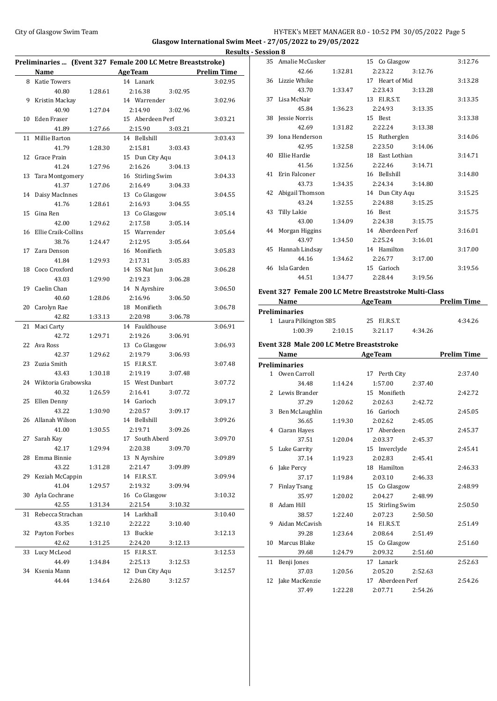#### City of Glasgow Swim Team Team Feam Fermi Management of the HY-TEK's MEET MANAGER 8.0 - 10:52 PM 30/05/2022 Page 5 **Glasgow International Swim Meet - 27/05/2022 to 29/05/2022 Results - Session 8**

|    |                       |         | Preliminaries  (Event 327 Female 200 LC Metre Breaststroke) |         |                    |
|----|-----------------------|---------|-------------------------------------------------------------|---------|--------------------|
|    | Name                  |         | <b>AgeTeam</b>                                              |         | <b>Prelim Time</b> |
|    | 8 Katie Towers        |         | 14 Lanark                                                   |         | 3:02.95            |
|    | 40.80                 | 1:28.61 | 2:16.38                                                     | 3:02.95 |                    |
| 9  | Kristin Mackay        |         | 14 Warrender                                                |         | 3:02.96            |
|    | 40.90                 | 1:27.04 | 2:14.90                                                     | 3:02.96 |                    |
| 10 | Eden Fraser           |         | 15 Aberdeen Perf                                            |         | 3:03.21            |
|    | 41.89                 | 1:27.66 | 2:15.90                                                     | 3:03.21 |                    |
| 11 | Millie Barton         |         | 14 Bellshill                                                |         | 3:03.43            |
|    | 41.79                 | 1:28.30 | 2:15.81                                                     | 3:03.43 |                    |
| 12 | Grace Prain           |         | 15 Dun City Aqu                                             |         | 3:04.13            |
|    | 41.24                 | 1:27.96 | 2:16.26                                                     | 3:04.13 |                    |
| 13 | Tara Montgomery       |         | 16 Stirling Swim                                            |         | 3:04.33            |
|    | 41.37                 | 1:27.06 | 2:16.49                                                     | 3:04.33 |                    |
| 14 | Daisy MacInnes        |         | 13 Co Glasgow                                               |         | 3:04.55            |
|    | 41.76                 | 1:28.61 | 2:16.93                                                     | 3:04.55 |                    |
| 15 | Gina Ren              |         | 13 Co Glasgow                                               |         | 3:05.14            |
|    | 42.00                 | 1:29.62 | 2:17.58                                                     | 3:05.14 |                    |
| 16 | Ellie Craik-Collins   |         | 15 Warrender                                                |         | 3:05.64            |
|    | 38.76                 | 1:24.47 | 2:12.95                                                     | 3:05.64 |                    |
| 17 | Zara Denson           |         | 16 Monifieth                                                |         | 3:05.83            |
|    | 41.84                 | 1:29.93 | 2:17.31                                                     | 3:05.83 |                    |
| 18 | Coco Croxford         |         | 14 SS Nat Jun                                               |         | 3:06.28            |
|    | 43.03                 | 1:29.90 | 2:19.23                                                     | 3:06.28 |                    |
| 19 | Caelin Chan           |         | 14 N Ayrshire                                               |         | 3:06.50            |
|    | 40.60                 | 1:28.06 | 2:16.96                                                     | 3:06.50 |                    |
| 20 | Carolyn Rae           |         | 18 Monifieth                                                |         | 3:06.78            |
|    | 42.82                 | 1:33.13 | 2:20.98                                                     | 3:06.78 |                    |
| 21 | Maci Carty            |         | 14 Fauldhouse                                               |         | 3:06.91            |
|    | 42.72                 | 1:29.71 | 2:19.26                                                     | 3:06.91 |                    |
| 22 | Ava Ross              |         | 13 Co Glasgow                                               |         | 3:06.93            |
|    | 42.37                 | 1:29.62 | 2:19.79                                                     | 3:06.93 |                    |
| 23 | Zuzia Smith           |         | 15 F.I.R.S.T.                                               |         | 3:07.48            |
|    | 43.43                 | 1:30.18 | 2:19.19                                                     | 3:07.48 |                    |
|    | 24 Wiktoria Grabowska |         | 15 West Dunbart                                             |         | 3:07.72            |
|    | 40.32                 | 1:26.59 | 2:16.41                                                     | 3:07.72 |                    |
| 25 | Ellen Denny           |         | 14 Garioch                                                  |         | 3:09.17            |
|    | 43.22                 | 1:30.90 | 2:20.57                                                     | 3:09.17 |                    |
|    | 26 Allanah Wilson     |         | 14 Bellshill                                                |         | 3:09.26            |
|    | 41.00                 | 1:30.55 | 2:19.71                                                     | 3:09.26 |                    |
| 27 | Sarah Kay             |         | 17 South Aberd                                              |         | 3:09.70            |
|    | 42.17                 | 1:29.94 | 2:20.38                                                     | 3:09.70 |                    |
| 28 | Emma Binnie           |         | 13 N Ayrshire                                               |         | 3:09.89            |
|    | 43.22                 | 1:31.28 | 2:21.47                                                     | 3:09.89 |                    |
| 29 | Keziah McCappin       |         | 14 F.I.R.S.T.                                               |         | 3:09.94            |
|    | 41.04                 | 1:29.57 | 2:19.32                                                     | 3:09.94 |                    |
| 30 | Ayla Cochrane         |         | 16 Co Glasgow                                               |         | 3:10.32            |
|    | 42.55                 | 1:31.34 | 2:21.54                                                     | 3:10.32 |                    |
| 31 | Rebecca Strachan      |         | 14 Larkhall                                                 |         | 3:10.40            |
|    | 43.35                 | 1:32.10 | 2:22.22                                                     | 3:10.40 |                    |
| 32 | Payton Forbes         |         | 13 Buckie                                                   |         | 3:12.13            |
|    | 42.62                 | 1:31.25 | 2:24.20                                                     | 3:12.13 |                    |
| 33 | Lucy McLeod           |         | 15 F.I.R.S.T.                                               |         | 3:12.53            |
|    | 44.49                 | 1:34.84 | 2:25.13                                                     | 3:12.53 |                    |
| 34 | Ksenia Mann           |         | 12 Dun City Aqu                                             |         | 3:12.57            |
|    | 44.44                 | 1:34.64 | 2:26.80                                                     | 3:12.57 |                    |

| SSIOII O |                    |         |                  |         |         |
|----------|--------------------|---------|------------------|---------|---------|
|          | 35 Amalie McCusker |         | 15 Co Glasgow    |         | 3:12.76 |
|          | 42.66              | 1:32.81 | 2:23.22          | 3:12.76 |         |
|          | 36 Lizzie Whike    |         | 17 Heart of Mid  |         | 3:13.28 |
|          | 43.70              | 1:33.47 | 2:23.43          | 3:13.28 |         |
|          | 37 Lisa McNair     |         | 13 F.I.R.S.T.    |         | 3:13.35 |
|          | 45.84              | 1:36.23 | 2:24.93          | 3:13.35 |         |
|          | 38 Jessie Norris   |         | 15 Best          |         | 3:13.38 |
|          | 42.69              | 1:31.82 | 2:22.24          | 3:13.38 |         |
|          | 39 Iona Henderson  |         | 15 Rutherglen    |         | 3:14.06 |
|          | 42.95              | 1:32.58 | 2:23.50          | 3:14.06 |         |
| 40       | Ellie Hardie       |         | 18 East Lothian  |         | 3:14.71 |
|          | 41.56              | 1:32.56 | 2:22.46          | 3:14.71 |         |
|          | 41 Erin Falconer   |         | 16 Bellshill     |         | 3:14.80 |
|          | 43.73              | 1:34.35 | 2:24.34          | 3:14.80 |         |
|          | 42 Abigail Thomson |         | 14 Dun City Aqu  |         | 3:15.25 |
|          | 43.24              | 1:32.55 | 2:24.88          | 3:15.25 |         |
|          | 43 Tilly Lakie     |         | 16 Best          |         | 3:15.75 |
|          | 43.00              | 1:34.09 | 2:24.38          | 3:15.75 |         |
|          | 44 Morgan Higgins  |         | 14 Aberdeen Perf |         | 3:16.01 |
|          | 43.97              | 1:34.50 | 2:25.24          | 3:16.01 |         |
|          | 45 Hannah Lindsay  |         | 14 Hamilton      |         | 3:17.00 |
|          | 44.16              | 1:34.62 | 2:26.77          | 3:17.00 |         |
|          | 46 Isla Garden     |         | 15 Garioch       |         | 3:19.56 |
|          | 44.51              | 1:34.77 | 2:28.44          | 3:19.56 |         |
|          |                    |         |                  |         |         |

#### **Event 327 Female 200 LC Metre Breaststroke Multi-Class**

| Name                   | <b>AgeTeam</b> |               | <b>Prelim Time</b> |         |
|------------------------|----------------|---------------|--------------------|---------|
| <b>Preliminaries</b>   |                |               |                    |         |
| 1 Laura Pilkington SB5 |                | 25 F.I.R.S.T. |                    | 4:34.26 |
| 1:00.39                | 2:10.15        | 3:21.17       | 4:34.26            |         |

#### **Event 328 Male 200 LC Metre Breaststroke**

|    | Name                |         | <b>AgeTeam</b>     | <b>Prelim Time</b> |
|----|---------------------|---------|--------------------|--------------------|
|    | Preliminaries       |         |                    |                    |
|    | 1 Owen Carroll      |         | 17 Perth City      | 2:37.40            |
|    | 34.48               | 1:14.24 | 1:57.00<br>2:37.40 |                    |
|    | 2 Lewis Brander     |         | 15 Monifieth       | 2:42.72            |
|    | 37.29               | 1:20.62 | 2:02.63<br>2:42.72 |                    |
|    | 3 Ben McLaughlin    |         | 16 Garioch         | 2:45.05            |
|    | 36.65               | 1:19.30 | 2:02.62<br>2:45.05 |                    |
|    | 4 Ciaran Hayes      |         | 17 Aberdeen        | 2:45.37            |
|    | 37.51               | 1:20.04 | 2:03.37<br>2:45.37 |                    |
| 5  | Luke Garrity        |         | 15 Inverclyde      | 2:45.41            |
|    | 37.14               | 1:19.23 | 2:02.83<br>2:45.41 |                    |
| 6  | Jake Percy          |         | 18 Hamilton        | 2:46.33            |
|    | 37.17               | 1:19.84 | 2:03.10<br>2:46.33 |                    |
| 7  | <b>Finlay Tsang</b> |         | 15 Co Glasgow      | 2:48.99            |
|    | 35.97               | 1:20.02 | 2:04.27<br>2:48.99 |                    |
| 8  | Adam Hill           |         | 15 Stirling Swim   | 2:50.50            |
|    | 38.57               | 1:22.40 | 2:07.23<br>2:50.50 |                    |
| q  | Aidan McCavish      |         | 14 F.I.R.S.T.      | 2:51.49            |
|    | 39.28               | 1:23.64 | 2:08.64<br>2:51.49 |                    |
| 10 | Marcus Blake        |         | 15 Co Glasgow      | 2:51.60            |
|    | 39.68               | 1:24.79 | 2:09.32<br>2:51.60 |                    |
|    | 11 Benji Jones      |         | 17 Lanark          | 2:52.63            |
|    | 37.03               | 1:20.56 | 2:05.20<br>2:52.63 |                    |
|    | 12 Jake MacKenzie   |         | 17 Aberdeen Perf   | 2:54.26            |
|    | 37.49               | 1:22.28 | 2:54.26<br>2:07.71 |                    |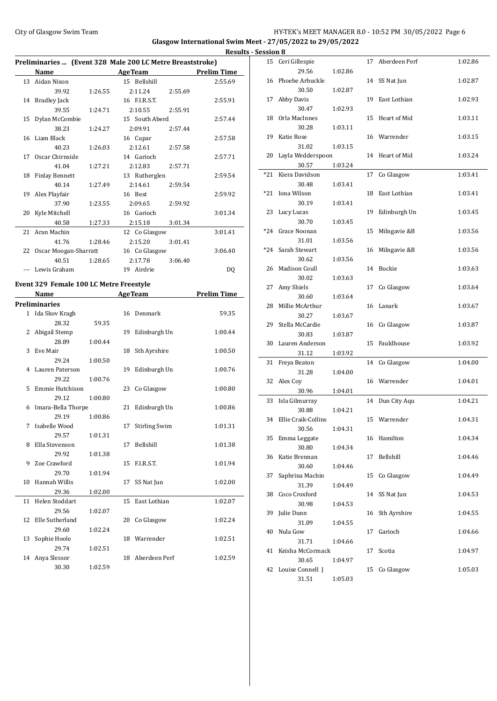#### City of Glasgow Swim Team **HY-TEK's MEET MANAGER 8.0 - 10:52 PM 30/05/2022** Page 6 **Glasgow International Swim Meet - 27/05/2022 to 29/05/2022**

|                                                                                                                                                                                                                                                                  |         | Preliminaries  (Event 328 Male 200 LC Metre Breaststroke) |         |                    |
|------------------------------------------------------------------------------------------------------------------------------------------------------------------------------------------------------------------------------------------------------------------|---------|-----------------------------------------------------------|---------|--------------------|
| Name                                                                                                                                                                                                                                                             |         | Age Team                                                  |         | <b>Prelim Time</b> |
| 13 Aidan Nixon                                                                                                                                                                                                                                                   |         | 15 Bellshill                                              |         | 2:55.69            |
| 39.92                                                                                                                                                                                                                                                            | 1:26.55 | 2:11.24                                                   | 2:55.69 |                    |
| 14 Bradley Jack                                                                                                                                                                                                                                                  |         | 16 F.I.R.S.T.                                             |         | 2:55.91            |
| 39.55                                                                                                                                                                                                                                                            | 1:24.71 | 2:10.55                                                   | 2:55.91 |                    |
| 15 Dylan McCombie                                                                                                                                                                                                                                                |         | 15 South Aberd                                            |         | 2:57.44            |
| 38.23                                                                                                                                                                                                                                                            | 1:24.27 | 2:09.91                                                   | 2:57.44 |                    |
| 16 Liam Black                                                                                                                                                                                                                                                    |         | 16 Cupar                                                  |         | 2:57.58            |
| 40.23                                                                                                                                                                                                                                                            | 1:26.03 | 2:12.61                                                   | 2:57.58 |                    |
| 17 Oscar Chirnside                                                                                                                                                                                                                                               |         | 14 Garioch                                                |         | 2:57.71            |
| 41.04                                                                                                                                                                                                                                                            | 1:27.21 | 2:12.83                                                   | 2:57.71 |                    |
| 18 Finlay Bennett                                                                                                                                                                                                                                                |         | 13 Rutherglen                                             |         | 2:59.54            |
| 40.14                                                                                                                                                                                                                                                            | 1:27.49 | 2:14.61                                                   | 2:59.54 |                    |
| 19 Alex Playfair                                                                                                                                                                                                                                                 |         | 16 Best                                                   |         | 2:59.92            |
| 37.90                                                                                                                                                                                                                                                            | 1:23.55 | 2:09.65                                                   | 2:59.92 |                    |
| 20 Kyle Mitchell                                                                                                                                                                                                                                                 |         | 16 Garioch                                                |         | 3:01.34            |
| 40.58                                                                                                                                                                                                                                                            | 1:27.33 | 2:15.18                                                   | 3:01.34 |                    |
| 21 Aran Machin                                                                                                                                                                                                                                                   |         | 12 Co Glasgow                                             |         | 3:01.41            |
| 41.76                                                                                                                                                                                                                                                            | 1:28.46 | 2:15.20                                                   | 3:01.41 |                    |
| 22 Oscar Moogan-Sharratt                                                                                                                                                                                                                                         |         | 16 Co Glasgow                                             |         | 3:06.40            |
| 40.51                                                                                                                                                                                                                                                            | 1:28.65 | 2:17.78                                                   | 3:06.40 |                    |
| Lewis Graham                                                                                                                                                                                                                                                     |         | 19 Airdrie                                                |         | DQ                 |
| $\sim$ 000 m $\sim$ 1.400 m $\sim$ 1.400 m $\sim$ 1.400 m $\sim$ 1.400 m $\sim$ 1.400 m $\sim$ 1.400 m $\sim$ 1.400 m $\sim$ 1.400 m $\sim$ 1.400 m $\sim$ 1.400 m $\sim$ 1.400 m $\sim$ 1.400 m $\sim$ 1.400 m $\sim$ 1.400 m $\sim$ 1.400 m $\sim$ 1.400 m $\$ |         |                                                           |         |                    |

## **Event 329 Female 100 LC Metre Freestyle**<br>Name AgeTeam

|    | Name                 |         |    | <b>AgeTeam</b>       | <b>Prelim Time</b> |  |
|----|----------------------|---------|----|----------------------|--------------------|--|
|    | <b>Preliminaries</b> |         |    |                      |                    |  |
|    | 1 Ida Skov Kragh     |         |    | 16 Denmark           | 59.35              |  |
|    | 28.32                | 59.35   |    |                      |                    |  |
| 2  | Abigail Stemp        |         | 19 | Edinburgh Un         | 1:00.44            |  |
|    | 28.89                | 1:00.44 |    |                      |                    |  |
| 3  | Eve Mair             |         | 18 | Sth Ayrshire         | 1:00.50            |  |
|    | 29.24                | 1:00.50 |    |                      |                    |  |
| 4  | Lauren Paterson      |         | 19 | Edinburgh Un         | 1:00.76            |  |
|    | 29.22                | 1:00.76 |    |                      |                    |  |
| 5  | Emmie Hutchison      |         |    | 23 Co Glasgow        | 1:00.80            |  |
|    | 29.12                | 1:00.80 |    |                      |                    |  |
| 6  | Imara-Bella Thorpe   |         | 21 | Edinburgh Un         | 1:00.86            |  |
|    | 29.19                | 1:00.86 |    |                      |                    |  |
| 7  | Isabelle Wood        |         | 17 | <b>Stirling Swim</b> | 1:01.31            |  |
|    | 29.57                | 1:01.31 |    |                      |                    |  |
| 8  | Ella Stevenson       |         | 17 | Bellshill            | 1:01.38            |  |
|    | 29.92                | 1:01.38 |    |                      |                    |  |
| 9  | Zoe Crawford         |         | 15 | F.I.R.S.T.           | 1:01.94            |  |
|    | 29.70                | 1:01.94 |    |                      |                    |  |
| 10 | Hannah Willis        |         | 17 | SS Nat Jun           | 1:02.00            |  |
|    | 29.36                | 1:02.00 |    |                      |                    |  |
| 11 | Helen Stoddart       |         | 15 | East Lothian         | 1:02.07            |  |
|    | 29.56                | 1:02.07 |    |                      |                    |  |
| 12 | Elle Sutherland      |         | 20 | Co Glasgow           | 1:02.24            |  |
|    | 29.60                | 1:02.24 |    |                      |                    |  |
| 13 | Sophie Hoole         |         | 18 | Warrender            | 1:02.51            |  |
|    | 29.74                | 1:02.51 |    |                      |                    |  |
| 14 | Anya Slessor         |         | 18 | Aberdeen Perf        | 1:02.59            |  |
|    | 30.30                | 1:02.59 |    |                      |                    |  |

|             | Results - Session 8 |                               |         |    |                  |         |
|-------------|---------------------|-------------------------------|---------|----|------------------|---------|
|             |                     | 15 Ceri Gillespie             |         |    | 17 Aberdeen Perf | 1:02.86 |
| ime<br>5.69 |                     | 29.56<br>16 Phoebe Arbuckle   | 1:02.86 |    | 14 SS Nat Jun    | 1:02.87 |
|             |                     | 30.50                         | 1:02.87 |    |                  |         |
| 5.91        | 17                  | Abby Davis<br>30.47           | 1:02.93 | 19 | East Lothian     | 1:02.93 |
| 7.44        |                     | 18 Orla MacInnes<br>30.28     |         |    | 15 Heart of Mid  | 1:03.11 |
| '.58        | 19                  | Katie Rose                    | 1:03.11 |    | 16 Warrender     | 1:03.15 |
|             |                     | 31.02                         | 1:03.15 |    |                  |         |
| '.71        |                     | 20 Layla Wedderspoon<br>30.57 | 1:03.24 |    | 14 Heart of Mid  | 1:03.24 |
| 1.54        | $*21$               | Kiera Davidson                |         | 17 | Co Glasgow       | 1:03.41 |
|             |                     | 30.48                         | 1:03.41 |    |                  |         |
| 1.92        |                     | *21 Iona Wilson               |         | 18 | East Lothian     | 1:03.41 |
|             |                     | 30.19                         | 1:03.41 |    |                  |         |
| .34         |                     | 23 Lucy Lucas                 |         |    | 19 Edinburgh Un  | 1:03.45 |
|             |                     | 30.70                         | 1:03.45 |    |                  |         |
| <b>.41</b>  |                     | *24 Grace Noonan              |         | 15 | Milngavie &B     | 1:03.56 |
|             |                     | 31.01                         | 1:03.56 |    |                  |         |
| 5.40        |                     | *24 Sarah Stewart             |         |    | 16 Milngavie &B  | 1:03.56 |
|             |                     | 30.62                         | 1:03.56 |    |                  |         |
| <b>DQ</b>   |                     | 26 Madison Coull              |         |    | 14 Buckie        | 1:03.63 |
|             |                     | 30.02                         | 1:03.63 |    |                  |         |
|             | 27                  | Amy Shiels                    |         | 17 | Co Glasgow       | 1:03.64 |
| ime         |                     | 30.60                         | 1:03.64 |    |                  |         |
|             | 28                  | Millie McArthur               |         |    | 16 Lanark        | 1:03.67 |
| 1.35        |                     | 30.27                         | 1:03.67 |    |                  |         |
|             | 29                  | Stella McCardie               |         |    | 16 Co Glasgow    | 1:03.87 |
| ).44        |                     | 30.83                         | 1:03.87 |    |                  |         |
|             |                     | 30 Lauren Anderson            |         |    | 15 Fauldhouse    | 1:03.92 |
| 1.50        |                     | 31.12                         | 1:03.92 |    |                  |         |
|             |                     | 31 Freya Beaton               |         |    | 14 Co Glasgow    | 1:04.00 |
| ).76        |                     | 31.28                         | 1:04.00 |    |                  |         |
|             |                     | 32 Alex Coy                   |         |    | 16 Warrender     | 1:04.01 |
| 1.80        |                     | 30.96                         | 1:04.01 |    |                  |         |
|             | 33                  | Isla Gilmurray                |         |    | 14 Dun City Aqu  | 1:04.21 |
| ).86        |                     | 30.88                         | 1:04.21 |    |                  |         |
|             |                     | 34 Ellie Craik-Collins        |         |    | 15 Warrender     | 1:04.31 |
| l.31        |                     | 30.56                         | 1:04.31 |    |                  |         |
|             |                     | 35 Emma Leggate               |         |    | 16 Hamilton      | 1:04.34 |
| 1.38        |                     | 30.80                         | 1:04.34 |    |                  |         |
|             | 36                  | Katie Brennan                 |         | 17 | Bellshill        | 1:04.46 |
| .94         |                     | 30.60                         | 1:04.46 |    |                  |         |
|             | 37                  | Saphrina Machin               |         | 15 | Co Glasgow       | 1:04.49 |
| 2.00        |                     | 31.39                         | 1:04.49 |    |                  |         |
|             | 38                  | Coco Croxford                 |         |    | 14 SS Nat Jun    | 1:04.53 |
| 2.07        |                     | 30.98                         | 1:04.53 |    |                  |         |
|             | 39                  | Julie Dunn                    |         |    | 16 Sth Ayrshire  | 1:04.55 |
| 2.24        |                     | 31.09                         | 1:04.55 |    |                  |         |
|             | 40                  | Nula Gow                      |         | 17 | Garioch          | 1:04.66 |
| 2.51        |                     | 31.71                         | 1:04.66 |    |                  |         |
|             |                     | 41 Keisha McCormack           |         | 17 | Scotia           | 1:04.97 |
| 2.59        |                     | 30.65                         | 1:04.97 |    |                  |         |
|             |                     | 42 Louise Connell J           |         | 15 | Co Glasgow       | 1:05.03 |
|             |                     | 31.51                         | 1:05.03 |    |                  |         |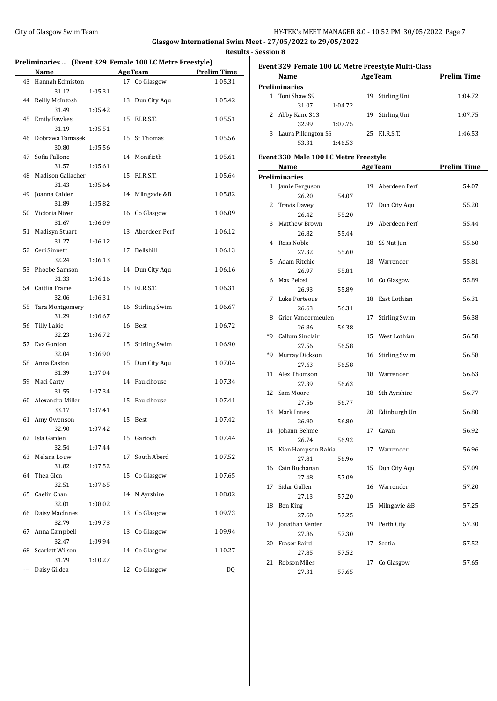**Preliminaries ... (Event 329 Female 100 LC Metre Freestyle) Name Age Team Prelim Time** 43 Hannah Edmiston 17 Co Glasgow 1:05.31 31.12 1:05.31 44 Reilly McIntosh 13 Dun City Aqu 1:05.42 31.49 1:05.42 45 Emily Fawkes 15 F.I.R.S.T. 1:05.51 31.19 1:05.51 46 Dobrawa Tomasek 15 St Thomas 1:05.56 30.80 1:05.56 47 Sofia Fallone 14 Monifieth 1:05.61 31.57 1:05.61 48 Madison Gallacher 15 F.I.R.S.T. 1:05.64 31.43 1:05.64 49 Joanna Calder 14 Milngavie &B 1:05.82 31.89 1:05.82 50 Victoria Niven 16 Co Glasgow 1:06.09 31.67 1:06.09 51 Madisyn Stuart 13 Aberdeen Perf 1:06.12 31.27 1:06.12 52 Ceri Sinnett 17 Bellshill 1:06.13 32.24 1:06.13 53 Phoebe Samson 14 Dun City Aqu 1:06.16 31.33 1:06.16 54 Caitlin Frame 15 F.I.R.S.T. 1:06.31 32.06 1:06.31 55 Tara Montgomery 16 Stirling Swim 1:06.67 31.29 1:06.67 56 Tilly Lakie 16 Best 1:06.72 32.23 1:06.72 57 Eva Gordon 15 Stirling Swim 1:06.90 32.04 1:06.90 58 Anna Easton 15 Dun City Aqu 1:07.04 31.39 1:07.04 59 Maci Carty 14 Fauldhouse 1:07.34 31.55 1:07.34 60 Alexandra Miller 15 Fauldhouse 1:07.41 33.17 1:07.41 61 Amy Owenson 15 Best 1:07.42 32.90 1:07.42 62 Isla Garden 15 Garioch 1:07.44 32.54 1:07.44 63 Melana Louw 17 South Aberd 1:07.52 31.82 1:07.52 64 Thea Glen 15 Co Glasgow 1:07.65 32.51 1:07.65 65 Caelin Chan 14 N Ayrshire 1:08.02 32.01 1:08.02 66 Daisy MacInnes 13 Co Glasgow 1:09.73 32.79 1:09.73 67 Anna Campbell 13 Co Glasgow 1:09.94 32.47 1:09.94 68 Scarlett Wilson 14 Co Glasgow 1:10.27 31.79 1:10.27 Daisy Gildea 12 Co Glasgow DQ

| Event 329 Female 100 LC Metre Freestyle Multi-Class |                                              |         |    |                      |                    |  |  |  |
|-----------------------------------------------------|----------------------------------------------|---------|----|----------------------|--------------------|--|--|--|
|                                                     | <b>Example 2 Age Team</b><br>Name            |         |    |                      | <b>Prelim Time</b> |  |  |  |
|                                                     | Preliminaries                                |         |    |                      |                    |  |  |  |
|                                                     | 1 Toni Shaw S9                               |         |    | 19 Stirling Uni      | 1:04.72            |  |  |  |
|                                                     | 31.07                                        | 1:04.72 |    |                      |                    |  |  |  |
|                                                     | 2 Abby Kane S13                              |         | 19 | Stirling Uni         | 1:07.75            |  |  |  |
|                                                     | 32.99                                        | 1:07.75 |    |                      |                    |  |  |  |
|                                                     | 3 Laura Pilkington S6                        |         |    | 25 F.I.R.S.T.        | 1:46.53            |  |  |  |
|                                                     | 53.31                                        | 1:46.53 |    |                      |                    |  |  |  |
|                                                     | <b>Event 330 Male 100 LC Metre Freestyle</b> |         |    |                      |                    |  |  |  |
|                                                     | <b>Example 2 Age Team</b><br>Name            |         |    |                      | <b>Prelim Time</b> |  |  |  |
|                                                     | <b>Preliminaries</b>                         |         |    |                      |                    |  |  |  |
|                                                     | 1 Jamie Ferguson                             |         |    | 19 Aberdeen Perf     | 54.07              |  |  |  |
|                                                     | 26.20                                        | 54.07   |    |                      |                    |  |  |  |
|                                                     | 2 Travis Davey                               |         |    | 17 Dun City Aqu      | 55.20              |  |  |  |
|                                                     | 26.42                                        | 55.20   |    |                      |                    |  |  |  |
| 3                                                   | <b>Matthew Brown</b>                         |         |    | 19 Aberdeen Perf     | 55.44              |  |  |  |
|                                                     | 26.82                                        | 55.44   |    |                      |                    |  |  |  |
| 4                                                   | Ross Noble                                   |         |    | 18 SS Nat Jun        | 55.60              |  |  |  |
|                                                     | 27.32                                        | 55.60   |    |                      |                    |  |  |  |
| 5                                                   | Adam Ritchie                                 |         |    | 18 Warrender         | 55.81              |  |  |  |
|                                                     | 26.97                                        | 55.81   |    |                      |                    |  |  |  |
| 6                                                   | Max Pelosi                                   |         |    | 16 Co Glasgow        | 55.89              |  |  |  |
|                                                     | 26.93                                        | 55.89   |    |                      |                    |  |  |  |
| 7                                                   | Luke Porteous                                |         | 18 | East Lothian         | 56.31              |  |  |  |
|                                                     | 26.63                                        | 56.31   |    |                      |                    |  |  |  |
| 8                                                   | Grier Vandermeulen                           |         | 17 | <b>Stirling Swim</b> | 56.38              |  |  |  |
|                                                     | 26.86                                        | 56.38   |    |                      |                    |  |  |  |
|                                                     | *9 Callum Sinclair                           |         |    | 15 West Lothian      | 56.58              |  |  |  |
|                                                     | 27.56                                        | 56.58   |    |                      |                    |  |  |  |
| *9                                                  | Murray Dickson                               |         |    | 16 Stirling Swim     | 56.58              |  |  |  |
|                                                     | 27.63                                        | 56.58   |    |                      |                    |  |  |  |
| 11                                                  | Alex Thomson                                 |         |    | 18 Warrender         | 56.63              |  |  |  |
|                                                     | 27.39                                        | 56.63   |    |                      |                    |  |  |  |
| 12                                                  | Sam Moore                                    |         |    | 18 Sth Ayrshire      | 56.77              |  |  |  |
|                                                     | 27.56                                        | 56.77   |    |                      |                    |  |  |  |
|                                                     | 13 Mark Innes                                |         |    | 20 Edinburgh Un      | 56.80              |  |  |  |
|                                                     | 26.90                                        | 56.80   |    |                      |                    |  |  |  |
|                                                     | 14 Johann Behme                              |         |    | 17 Cavan             | 56.92              |  |  |  |
|                                                     | 26.74                                        | 56.92   |    |                      |                    |  |  |  |
| 15                                                  | Kian Hampson Bahia                           |         |    | 17 Warrender         | 56.96              |  |  |  |
|                                                     | 27.81                                        | 56.96   |    |                      |                    |  |  |  |
| 16                                                  | Cain Buchanan                                |         | 15 | Dun City Aqu         | 57.09              |  |  |  |
|                                                     | 27.48                                        | 57.09   |    |                      |                    |  |  |  |
| 17                                                  | Sidar Gullen                                 |         |    | 16 Warrender         | 57.20              |  |  |  |
|                                                     | 27.13                                        | 57.20   |    |                      |                    |  |  |  |
| 18                                                  | Ben King                                     |         | 15 | Milngavie &B         | 57.25              |  |  |  |
|                                                     | 27.60                                        | 57.25   |    |                      |                    |  |  |  |
| 19                                                  | Jonathan Venter                              |         | 19 | Perth City           | 57.30              |  |  |  |
|                                                     | 27.86                                        | 57.30   |    |                      |                    |  |  |  |
| 20                                                  | Fraser Baird                                 |         | 17 | Scotia               | 57.52              |  |  |  |
|                                                     | 27.85                                        | 57.52   |    |                      |                    |  |  |  |
| 21                                                  | Robson Miles                                 |         | 17 | Co Glasgow           | 57.65              |  |  |  |
|                                                     | 27.31                                        | 57.65   |    |                      |                    |  |  |  |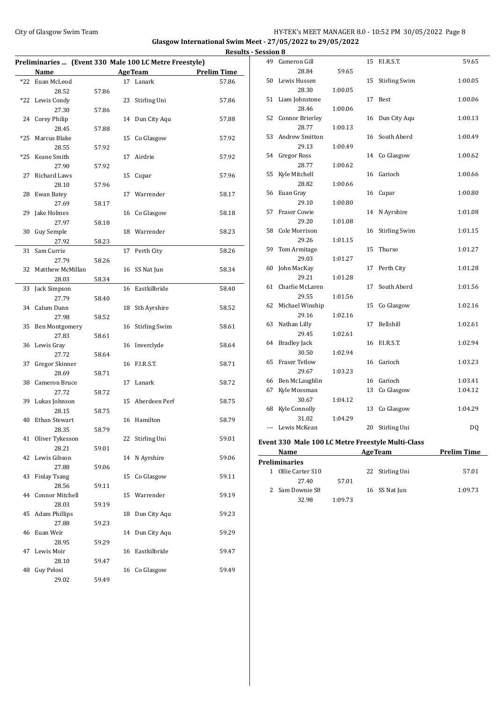#### City of Glasgow Swim Team **HY-TEK's MEET MANAGER 8.0 - 10:52 PM 30/05/2022** Page 8 **Glasgow International Swim Meet - 27/05/2022 to 29/05/2022**

|       |                       |       |    | Preliminaries  (Event 330 Male 100 LC Metre Freestyle) |                    |
|-------|-----------------------|-------|----|--------------------------------------------------------|--------------------|
|       | Name                  |       |    | <b>AgeTeam</b>                                         | <b>Prelim Time</b> |
| $*22$ | Euan McLeod           |       |    | 17 Lanark                                              | 57.86              |
|       | 28.52                 | 57.86 |    |                                                        |                    |
| *22   | Lewis Condy           |       | 23 | Stirling Uni                                           | 57.86              |
|       | 27.30                 | 57.86 |    |                                                        |                    |
| 24    | Corey Philip          |       | 14 | Dun City Aqu                                           | 57.88              |
|       | 28.45                 | 57.88 |    |                                                        |                    |
| $*25$ | Marcus Blake          |       | 15 | Co Glasgow                                             | 57.92              |
|       | 28.55                 | 57.92 |    |                                                        |                    |
| $*25$ | Keane Smith           |       | 17 | Airdrie                                                | 57.92              |
|       | 27.90                 | 57.92 |    |                                                        |                    |
| 27    | <b>Richard Laws</b>   |       | 15 | Cupar                                                  | 57.96              |
|       | 28.10                 | 57.96 |    |                                                        |                    |
| 28    | Ewan Batey            |       | 17 | Warrender                                              | 58.17              |
|       | 27.69                 | 58.17 |    |                                                        |                    |
| 29    | Jake Holmes           |       |    | 16 Co Glasgow                                          | 58.18              |
|       | 27.97                 | 58.18 |    |                                                        |                    |
|       |                       |       | 18 | Warrender                                              |                    |
| 30    | Guy Semple<br>27.92   |       |    |                                                        | 58.23              |
|       | Sam Currie            | 58.23 |    |                                                        |                    |
| 31    | 27.79                 |       | 17 | Perth City                                             | 58.26              |
|       |                       | 58.26 |    |                                                        |                    |
| 32    | Matthew McMillan      |       | 16 | SS Nat Jun                                             | 58.34              |
|       | 28.03                 | 58.34 |    |                                                        |                    |
| 33    | Jack Simpson          |       | 16 | Eastkilbride                                           | 58.40              |
|       | 27.79                 | 58.40 |    |                                                        |                    |
| 34    | Calum Dunn            |       | 18 | Sth Ayrshire                                           | 58.52              |
|       | 27.98                 | 58.52 |    |                                                        |                    |
| 35    | <b>Ben Montgomery</b> |       | 16 | <b>Stirling Swim</b>                                   | 58.61              |
|       | 27.83                 | 58.61 |    |                                                        |                    |
| 36    | Lewis Gray            |       | 16 | Inverclyde                                             | 58.64              |
|       | 27.72                 | 58.64 |    |                                                        |                    |
| 37    | Gregor Skinner        |       | 16 | F.I.R.S.T.                                             | 58.71              |
|       | 28.69                 | 58.71 |    |                                                        |                    |
| 38    | Cameron Bruce         |       | 17 | Lanark                                                 | 58.72              |
|       | 27.72                 | 58.72 |    |                                                        |                    |
| 39    | Lukas Johnson         |       | 15 | Aberdeen Perf                                          | 58.75              |
|       | 28.15                 | 58.75 |    |                                                        |                    |
| 40    | <b>Ethan Stewart</b>  |       |    | 16 Hamilton                                            | 58.79              |
|       | 28.35                 | 58.79 |    |                                                        |                    |
| 41    | Oliver Tykesson       |       | 22 | Stirling Uni                                           | 59.01              |
|       | 28.21                 | 59.01 |    |                                                        |                    |
| 42    | Lewis Gibson          |       | 14 | N Ayrshire                                             | 59.06              |
|       | 27.88                 | 59.06 |    |                                                        |                    |
| 43    | <b>Finlay Tsang</b>   |       | 15 | Co Glasgow                                             | 59.11              |
|       | 28.56                 | 59.11 |    |                                                        |                    |
| 44    | Connor Mitchell       |       | 15 | Warrender                                              | 59.19              |
|       | 28.03                 | 59.19 |    |                                                        |                    |
| 45    | <b>Adam Phillips</b>  |       | 18 | Dun City Aqu                                           | 59.23              |
|       | 27.88                 | 59.23 |    |                                                        |                    |
| 46    | Euan Weir             |       | 14 | Dun City Aqu                                           | 59.29              |
|       | 28.95                 | 59.29 |    |                                                        |                    |
| 47    | Lewis Moir            |       | 16 | Eastkilbride                                           | 59.47              |
|       | 28.10                 | 59.47 |    |                                                        |                    |
| 48    | Guy Pelosi            |       | 16 | Co Glasgow                                             | 59.49              |
|       | 29.02                 | 59.49 |    |                                                        |                    |

|      | <b>Results - Session 8</b> |                       |         |    |                      |         |
|------|----------------------------|-----------------------|---------|----|----------------------|---------|
|      |                            | 49 Cameron Gill       |         | 15 | F.I.R.S.T.           | 59.65   |
| ime  |                            | 28.84                 | 59.65   |    |                      |         |
| '.86 | 50                         | Lewis Hussen          |         | 15 | Stirling Swim        | 1:00.05 |
|      |                            | 28.30                 | 1:00.05 |    |                      |         |
| .86  |                            | 51 Liam Johnstone     |         | 17 | Best                 | 1:00.06 |
|      |                            | 28.46                 | 1:00.06 |    |                      |         |
| 7.88 | 52                         | Connor Brierley       |         | 16 | Dun City Aqu         | 1:00.13 |
|      |                            | 28.77                 | 1:00.13 |    |                      |         |
| '.92 | 53                         | <b>Andrew Smitton</b> |         |    | 16 South Aberd       | 1:00.49 |
|      |                            | 29.13                 | 1:00.49 |    |                      |         |
| '.92 |                            | 54 Gregor Ross        |         |    | 14 Co Glasgow        | 1:00.62 |
|      |                            | 28.77                 | 1:00.62 |    |                      |         |
| '.96 | 55                         | Kyle Mitchell         |         |    | 16 Garioch           | 1:00.66 |
|      |                            | 28.82                 | 1:00.66 |    |                      |         |
| 3.17 | 56                         | Euan Gray             |         |    | 16 Cupar             | 1:00.80 |
|      |                            | 29.10                 | 1:00.80 |    |                      |         |
| 3.18 | 57                         | Fraser Cowie          |         |    | 14 N Ayrshire        | 1:01.08 |
|      |                            | 29.20                 | 1:01.08 |    |                      |         |
| 3.23 | 58                         | Cole Morrison         |         | 16 | <b>Stirling Swim</b> | 1:01.15 |
|      |                            | 29.26                 | 1:01.15 |    |                      |         |
| 3.26 | 59                         | Tom Armitage          |         | 15 | Thurso               | 1:01.27 |
|      |                            | 29.03                 | 1:01.27 |    |                      |         |
| 3.34 | 60                         | John MacKay           |         | 17 | Perth City           | 1:01.28 |
|      |                            | 29.21                 | 1:01.28 |    |                      |         |
| 3.40 | 61                         | Charlie McLaren       |         | 17 | South Aberd          | 1:01.56 |
|      |                            | 29.55                 | 1:01.56 |    |                      |         |
| 3.52 | 62                         | Michael Winship       |         | 15 | Co Glasgow           | 1:02.16 |
|      |                            | 29.16                 | 1:02.16 |    |                      |         |
| 3.61 | 63                         | Nathan Lilly          |         | 17 | Bellshill            | 1:02.61 |
|      |                            | 29.45                 | 1:02.61 |    |                      |         |
| 3.64 |                            | 64 Bradley Jack       |         |    | 16 F.I.R.S.T.        | 1:02.94 |
|      |                            | 30.50                 | 1:02.94 |    |                      |         |
| 3.71 | 65                         | <b>Fraser Tetlow</b>  |         |    | 16 Garioch           | 1:03.23 |
|      |                            | 29.67                 | 1:03.23 |    |                      |         |
| 3.72 |                            | 66 Ben McLaughlin     |         | 16 | Garioch              | 1:03.41 |
|      | 67                         | Kyle Mossman          |         | 13 | Co Glasgow           | 1:04.12 |
| 3.75 |                            | 30.67                 | 1:04.12 |    |                      |         |
|      | 68                         | Kyle Connolly         |         | 13 | Co Glasgow           | 1:04.29 |
| 3.79 |                            | 31.02                 | 1:04.29 |    |                      |         |
|      | $---$                      | Lewis McKean          |         |    | 20 Stirling Uni      | DQ      |
|      |                            |                       |         |    |                      |         |

#### **Event 330 Male 100 LC Metre Freestyle Multi-Class**

|    | Name                 |         | <b>AgeTeam</b>  | <b>Prelim Time</b> |
|----|----------------------|---------|-----------------|--------------------|
|    | <b>Preliminaries</b> |         |                 |                    |
| 1. | Ollie Carter S10     |         | 22 Stirling Uni | 57.01              |
|    | 27.40                | 57.01   |                 |                    |
|    | 2 Sam Downie S8      |         | 16 SS Nat Jun   | 1:09.73            |
|    | 32.98                | 1:09.73 |                 |                    |